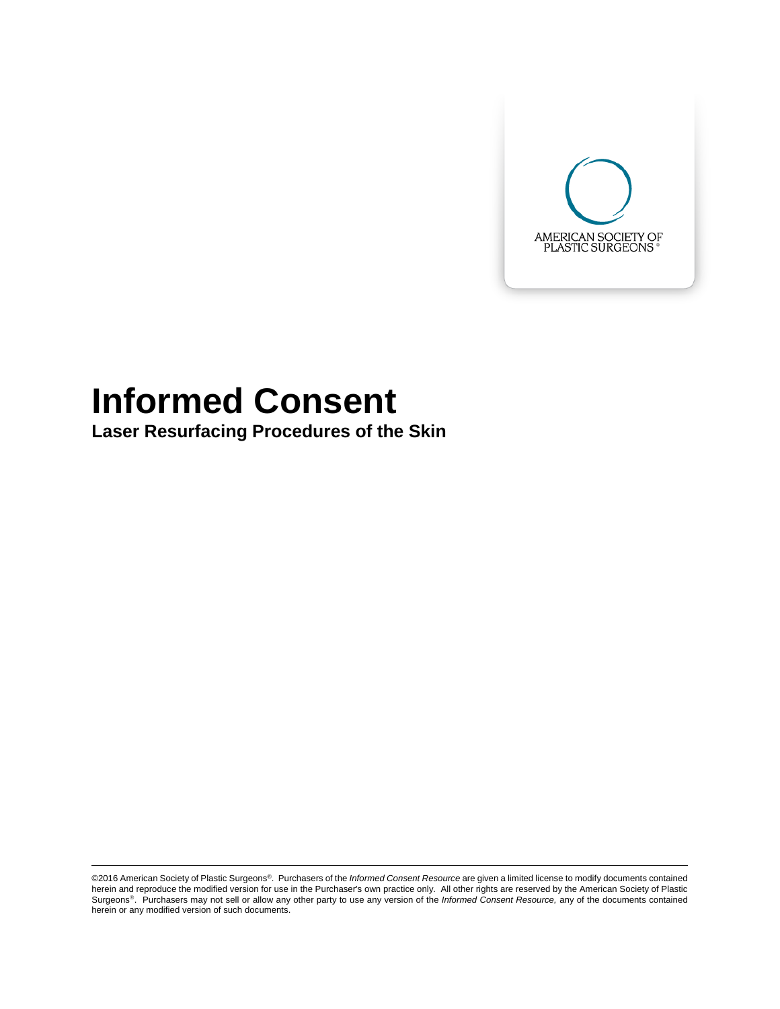

# **Informed Consent**

**Laser Resurfacing Procedures of the Skin**

©2016 American Society of Plastic Surgeons®. Purchasers of the *Informed Consent Resource* are given a limited license to modify documents contained herein and reproduce the modified version for use in the Purchaser's own practice only. All other rights are reserved by the American Society of Plastic Surgeons<sup>®</sup>. Purchasers may not sell or allow any other party to use any version of the *Informed Consent Resource*, any of the documents contained herein or any modified version of such documents.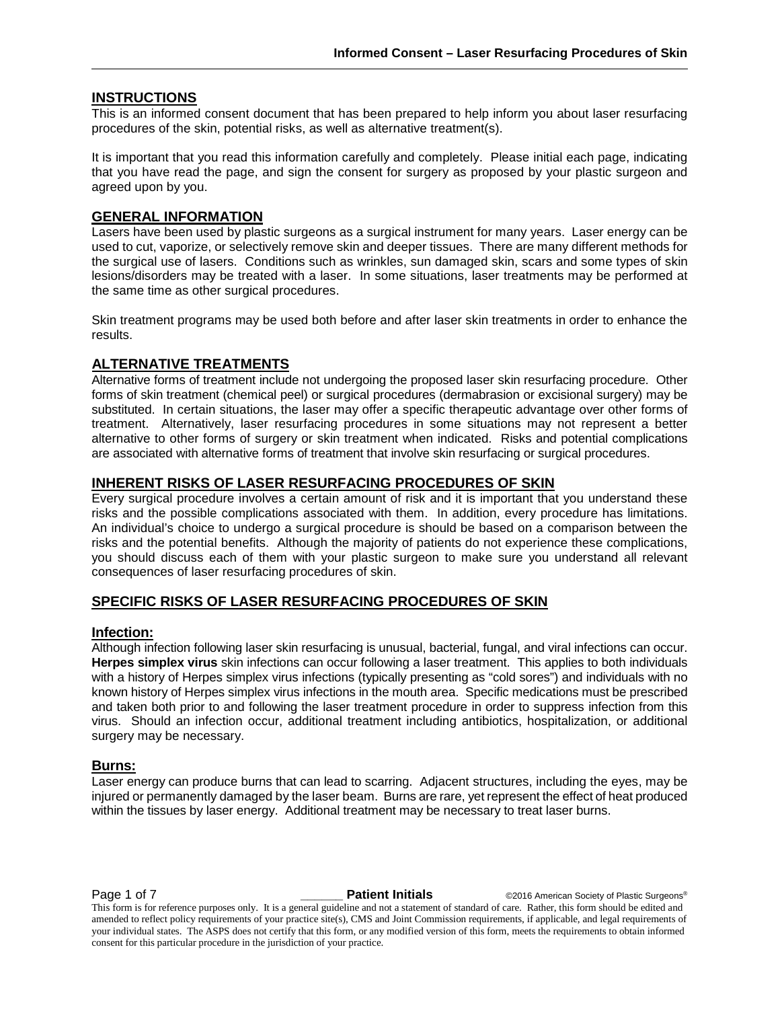#### **INSTRUCTIONS**

This is an informed consent document that has been prepared to help inform you about laser resurfacing procedures of the skin, potential risks, as well as alternative treatment(s).

It is important that you read this information carefully and completely. Please initial each page, indicating that you have read the page, and sign the consent for surgery as proposed by your plastic surgeon and agreed upon by you.

#### **GENERAL INFORMATION**

Lasers have been used by plastic surgeons as a surgical instrument for many years. Laser energy can be used to cut, vaporize, or selectively remove skin and deeper tissues. There are many different methods for the surgical use of lasers. Conditions such as wrinkles, sun damaged skin, scars and some types of skin lesions/disorders may be treated with a laser. In some situations, laser treatments may be performed at the same time as other surgical procedures.

Skin treatment programs may be used both before and after laser skin treatments in order to enhance the results.

#### **ALTERNATIVE TREATMENTS**

Alternative forms of treatment include not undergoing the proposed laser skin resurfacing procedure. Other forms of skin treatment (chemical peel) or surgical procedures (dermabrasion or excisional surgery) may be substituted. In certain situations, the laser may offer a specific therapeutic advantage over other forms of treatment. Alternatively, laser resurfacing procedures in some situations may not represent a better alternative to other forms of surgery or skin treatment when indicated. Risks and potential complications are associated with alternative forms of treatment that involve skin resurfacing or surgical procedures.

#### **INHERENT RISKS OF LASER RESURFACING PROCEDURES OF SKIN**

Every surgical procedure involves a certain amount of risk and it is important that you understand these risks and the possible complications associated with them. In addition, every procedure has limitations. An individual's choice to undergo a surgical procedure is should be based on a comparison between the risks and the potential benefits. Although the majority of patients do not experience these complications, you should discuss each of them with your plastic surgeon to make sure you understand all relevant consequences of laser resurfacing procedures of skin.

#### **SPECIFIC RISKS OF LASER RESURFACING PROCEDURES OF SKIN**

#### **Infection:**

Although infection following laser skin resurfacing is unusual, bacterial, fungal, and viral infections can occur. **Herpes simplex virus** skin infections can occur following a laser treatment. This applies to both individuals with a history of Herpes simplex virus infections (typically presenting as "cold sores") and individuals with no known history of Herpes simplex virus infections in the mouth area. Specific medications must be prescribed and taken both prior to and following the laser treatment procedure in order to suppress infection from this virus. Should an infection occur, additional treatment including antibiotics, hospitalization, or additional surgery may be necessary.

#### **Burns:**

Laser energy can produce burns that can lead to scarring. Adjacent structures, including the eyes, may be injured or permanently damaged by the laser beam. Burns are rare, yet represent the effect of heat produced within the tissues by laser energy. Additional treatment may be necessary to treat laser burns.

**Page 1 of 7 \_\_\_\_\_\_\_ Patient Initials**  $\qquad \qquad \circ$ 2016 American Society of Plastic Surgeons®

This form is for reference purposes only. It is a general guideline and not a statement of standard of care. Rather, this form should be edited and amended to reflect policy requirements of your practice site(s), CMS and Joint Commission requirements, if applicable, and legal requirements of your individual states. The ASPS does not certify that this form, or any modified version of this form, meets the requirements to obtain informed consent for this particular procedure in the jurisdiction of your practice.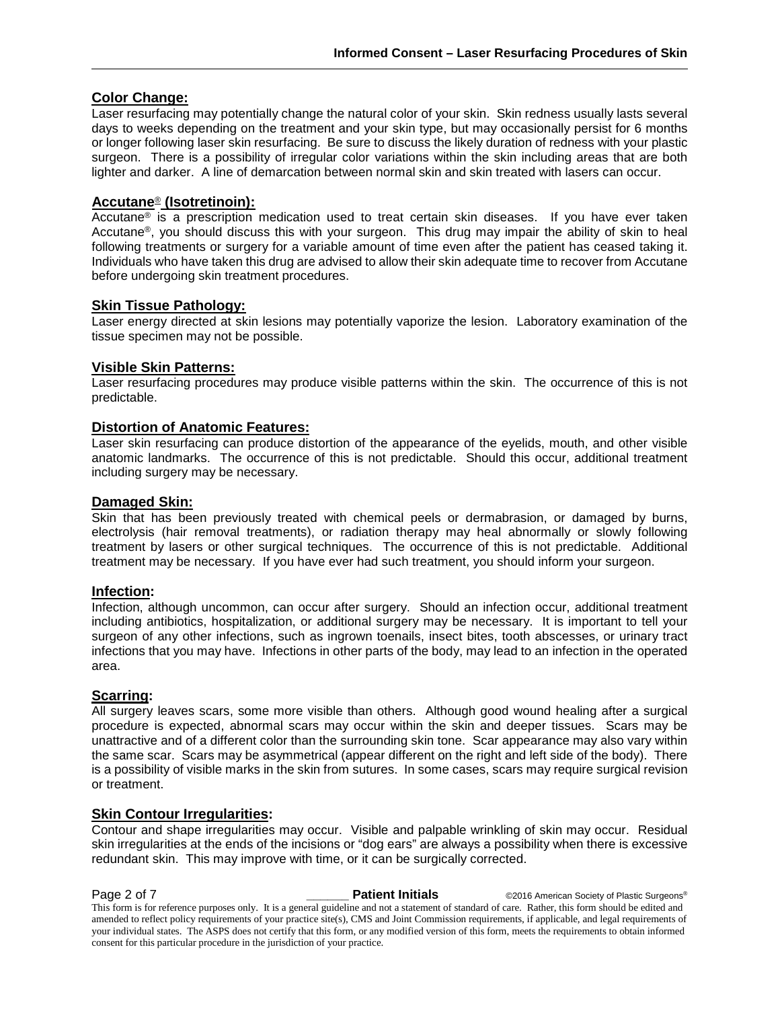#### **Color Change:**

Laser resurfacing may potentially change the natural color of your skin. Skin redness usually lasts several days to weeks depending on the treatment and your skin type, but may occasionally persist for 6 months or longer following laser skin resurfacing. Be sure to discuss the likely duration of redness with your plastic surgeon. There is a possibility of irregular color variations within the skin including areas that are both lighter and darker. A line of demarcation between normal skin and skin treated with lasers can occur.

#### **Accutane**® **(Isotretinoin):**

Accutane<sup>®</sup> is a prescription medication used to treat certain skin diseases. If you have ever taken Accutane®, you should discuss this with your surgeon. This drug may impair the ability of skin to heal following treatments or surgery for a variable amount of time even after the patient has ceased taking it. Individuals who have taken this drug are advised to allow their skin adequate time to recover from Accutane before undergoing skin treatment procedures.

#### **Skin Tissue Pathology:**

Laser energy directed at skin lesions may potentially vaporize the lesion. Laboratory examination of the tissue specimen may not be possible.

#### **Visible Skin Patterns:**

Laser resurfacing procedures may produce visible patterns within the skin. The occurrence of this is not predictable.

#### **Distortion of Anatomic Features:**

Laser skin resurfacing can produce distortion of the appearance of the eyelids, mouth, and other visible anatomic landmarks. The occurrence of this is not predictable. Should this occur, additional treatment including surgery may be necessary.

#### **Damaged Skin:**

Skin that has been previously treated with chemical peels or dermabrasion, or damaged by burns, electrolysis (hair removal treatments), or radiation therapy may heal abnormally or slowly following treatment by lasers or other surgical techniques. The occurrence of this is not predictable. Additional treatment may be necessary. If you have ever had such treatment, you should inform your surgeon.

#### **Infection:**

Infection, although uncommon, can occur after surgery. Should an infection occur, additional treatment including antibiotics, hospitalization, or additional surgery may be necessary. It is important to tell your surgeon of any other infections, such as ingrown toenails, insect bites, tooth abscesses, or urinary tract infections that you may have. Infections in other parts of the body, may lead to an infection in the operated area.

#### **Scarring:**

All surgery leaves scars, some more visible than others. Although good wound healing after a surgical procedure is expected, abnormal scars may occur within the skin and deeper tissues. Scars may be unattractive and of a different color than the surrounding skin tone. Scar appearance may also vary within the same scar. Scars may be asymmetrical (appear different on the right and left side of the body). There is a possibility of visible marks in the skin from sutures. In some cases, scars may require surgical revision or treatment.

#### **Skin Contour Irregularities:**

Contour and shape irregularities may occur. Visible and palpable wrinkling of skin may occur. Residual skin irregularities at the ends of the incisions or "dog ears" are always a possibility when there is excessive redundant skin. This may improve with time, or it can be surgically corrected.

**Page 2 of 7 \_\_\_\_\_\_ Patient Initials** ©2016 American Society of Plastic Surgeons® This form is for reference purposes only. It is a general guideline and not a statement of standard of care. Rather, this form should be edited and amended to reflect policy requirements of your practice site(s), CMS and Joint Commission requirements, if applicable, and legal requirements of your individual states. The ASPS does not certify that this form, or any modified version of this form, meets the requirements to obtain informed consent for this particular procedure in the jurisdiction of your practice.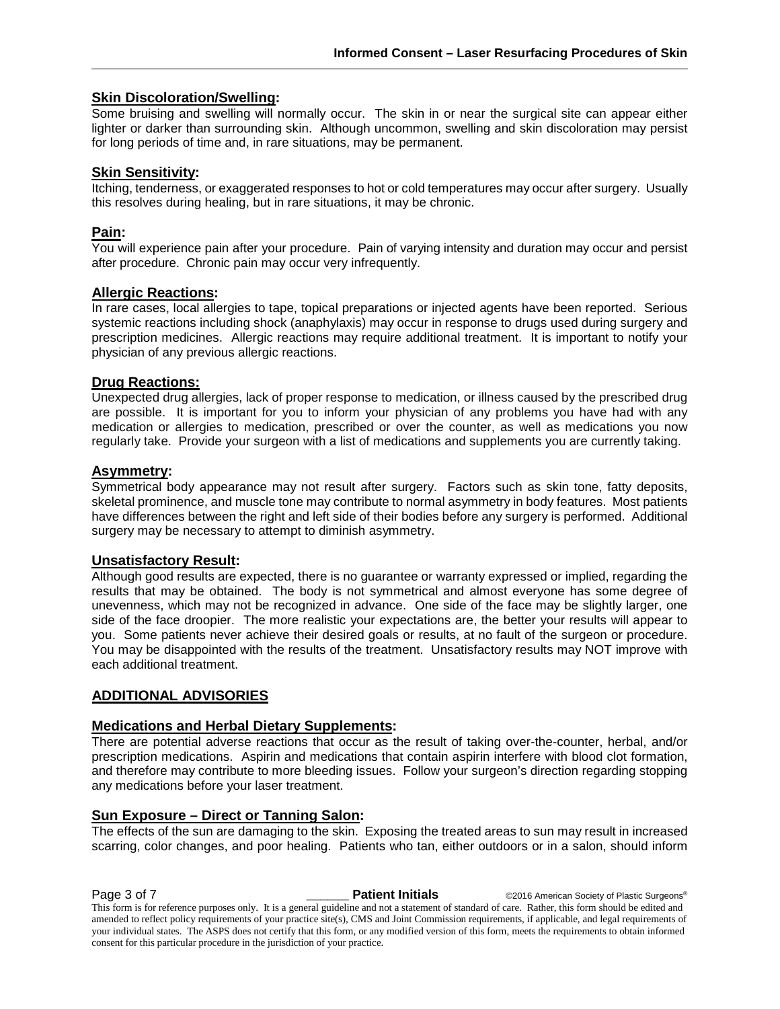#### **Skin Discoloration/Swelling:**

Some bruising and swelling will normally occur. The skin in or near the surgical site can appear either lighter or darker than surrounding skin. Although uncommon, swelling and skin discoloration may persist for long periods of time and, in rare situations, may be permanent.

#### **Skin Sensitivity:**

Itching, tenderness, or exaggerated responses to hot or cold temperatures may occur after surgery. Usually this resolves during healing, but in rare situations, it may be chronic.

#### **Pain:**

You will experience pain after your procedure. Pain of varying intensity and duration may occur and persist after procedure. Chronic pain may occur very infrequently.

#### **Allergic Reactions:**

In rare cases, local allergies to tape, topical preparations or injected agents have been reported. Serious systemic reactions including shock (anaphylaxis) may occur in response to drugs used during surgery and prescription medicines. Allergic reactions may require additional treatment. It is important to notify your physician of any previous allergic reactions.

#### **Drug Reactions:**

Unexpected drug allergies, lack of proper response to medication, or illness caused by the prescribed drug are possible. It is important for you to inform your physician of any problems you have had with any medication or allergies to medication, prescribed or over the counter, as well as medications you now regularly take. Provide your surgeon with a list of medications and supplements you are currently taking.

#### **Asymmetry:**

Symmetrical body appearance may not result after surgery. Factors such as skin tone, fatty deposits, skeletal prominence, and muscle tone may contribute to normal asymmetry in body features. Most patients have differences between the right and left side of their bodies before any surgery is performed. Additional surgery may be necessary to attempt to diminish asymmetry.

#### **Unsatisfactory Result:**

Although good results are expected, there is no guarantee or warranty expressed or implied, regarding the results that may be obtained. The body is not symmetrical and almost everyone has some degree of unevenness, which may not be recognized in advance. One side of the face may be slightly larger, one side of the face droopier. The more realistic your expectations are, the better your results will appear to you. Some patients never achieve their desired goals or results, at no fault of the surgeon or procedure. You may be disappointed with the results of the treatment. Unsatisfactory results may NOT improve with each additional treatment.

#### **ADDITIONAL ADVISORIES**

#### **Medications and Herbal Dietary Supplements:**

There are potential adverse reactions that occur as the result of taking over-the-counter, herbal, and/or prescription medications. Aspirin and medications that contain aspirin interfere with blood clot formation, and therefore may contribute to more bleeding issues. Follow your surgeon's direction regarding stopping any medications before your laser treatment.

#### **Sun Exposure – Direct or Tanning Salon:**

The effects of the sun are damaging to the skin. Exposing the treated areas to sun may result in increased scarring, color changes, and poor healing. Patients who tan, either outdoors or in a salon, should inform

**Page 3 of 7 \_\_\_\_\_\_ Patient Initials** ©2016 American Society of Plastic Surgeons® This form is for reference purposes only. It is a general guideline and not a statement of standard of care. Rather, this form should be edited and amended to reflect policy requirements of your practice site(s), CMS and Joint Commission requirements, if applicable, and legal requirements of your individual states. The ASPS does not certify that this form, or any modified version of this form, meets the requirements to obtain informed consent for this particular procedure in the jurisdiction of your practice.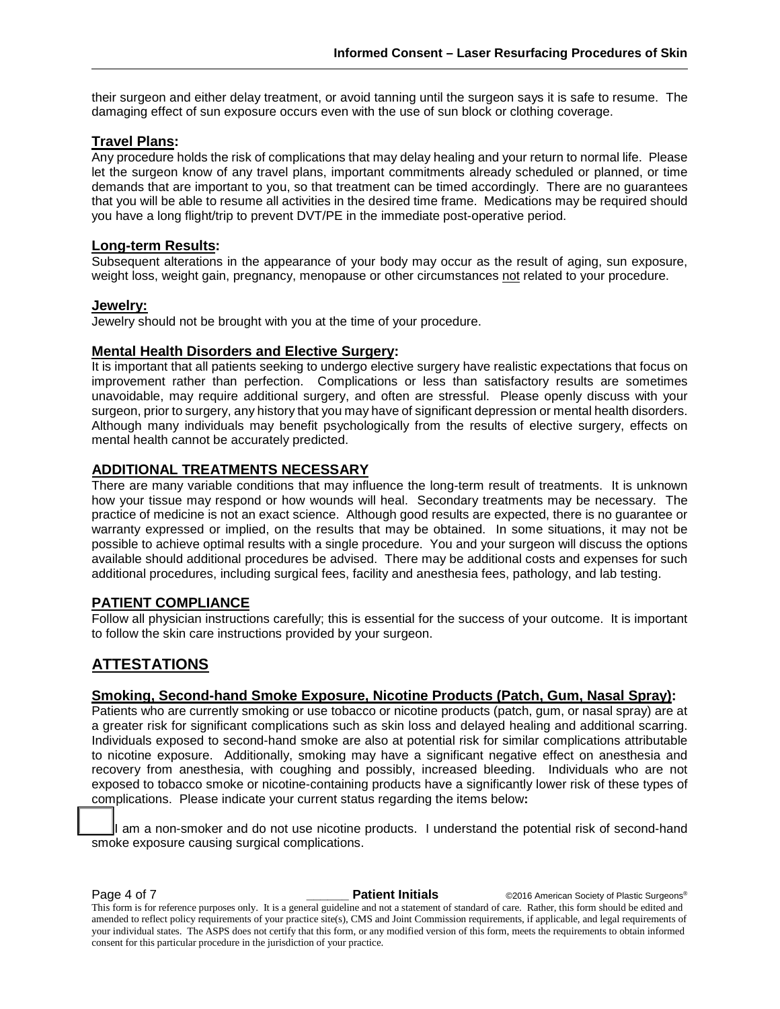their surgeon and either delay treatment, or avoid tanning until the surgeon says it is safe to resume. The damaging effect of sun exposure occurs even with the use of sun block or clothing coverage.

#### **Travel Plans:**

Any procedure holds the risk of complications that may delay healing and your return to normal life. Please let the surgeon know of any travel plans, important commitments already scheduled or planned, or time demands that are important to you, so that treatment can be timed accordingly. There are no guarantees that you will be able to resume all activities in the desired time frame. Medications may be required should you have a long flight/trip to prevent DVT/PE in the immediate post-operative period.

#### **Long-term Results:**

Subsequent alterations in the appearance of your body may occur as the result of aging, sun exposure, weight loss, weight gain, pregnancy, menopause or other circumstances not related to your procedure.

#### **Jewelry:**

Jewelry should not be brought with you at the time of your procedure.

#### **Mental Health Disorders and Elective Surgery:**

It is important that all patients seeking to undergo elective surgery have realistic expectations that focus on improvement rather than perfection. Complications or less than satisfactory results are sometimes unavoidable, may require additional surgery, and often are stressful. Please openly discuss with your surgeon, prior to surgery, any history that you may have of significant depression or mental health disorders. Although many individuals may benefit psychologically from the results of elective surgery, effects on mental health cannot be accurately predicted.

#### **ADDITIONAL TREATMENTS NECESSARY**

There are many variable conditions that may influence the long-term result of treatments. It is unknown how your tissue may respond or how wounds will heal. Secondary treatments may be necessary. The practice of medicine is not an exact science. Although good results are expected, there is no guarantee or warranty expressed or implied, on the results that may be obtained. In some situations, it may not be possible to achieve optimal results with a single procedure. You and your surgeon will discuss the options available should additional procedures be advised. There may be additional costs and expenses for such additional procedures, including surgical fees, facility and anesthesia fees, pathology, and lab testing.

#### **PATIENT COMPLIANCE**

Follow all physician instructions carefully; this is essential for the success of your outcome. It is important to follow the skin care instructions provided by your surgeon.

### **ATTESTATIONS**

#### **Smoking, Second-hand Smoke Exposure, Nicotine Products (Patch, Gum, Nasal Spray):**

Patients who are currently smoking or use tobacco or nicotine products (patch, gum, or nasal spray) are at a greater risk for significant complications such as skin loss and delayed healing and additional scarring. Individuals exposed to second-hand smoke are also at potential risk for similar complications attributable to nicotine exposure. Additionally, smoking may have a significant negative effect on anesthesia and recovery from anesthesia, with coughing and possibly, increased bleeding. Individuals who are not exposed to tobacco smoke or nicotine-containing products have a significantly lower risk of these types of complications. Please indicate your current status regarding the items below**:**

**\_\_** I am a non-smoker and do not use nicotine products. I understand the potential risk of second-hand smoke exposure causing surgical complications.

**Page 4 of 7 \_\_\_\_\_\_ Patient Initials** ©2016 American Society of Plastic Surgeons®

This form is for reference purposes only. It is a general guideline and not a statement of standard of care. Rather, this form should be edited and amended to reflect policy requirements of your practice site(s), CMS and Joint Commission requirements, if applicable, and legal requirements of your individual states. The ASPS does not certify that this form, or any modified version of this form, meets the requirements to obtain informed consent for this particular procedure in the jurisdiction of your practice.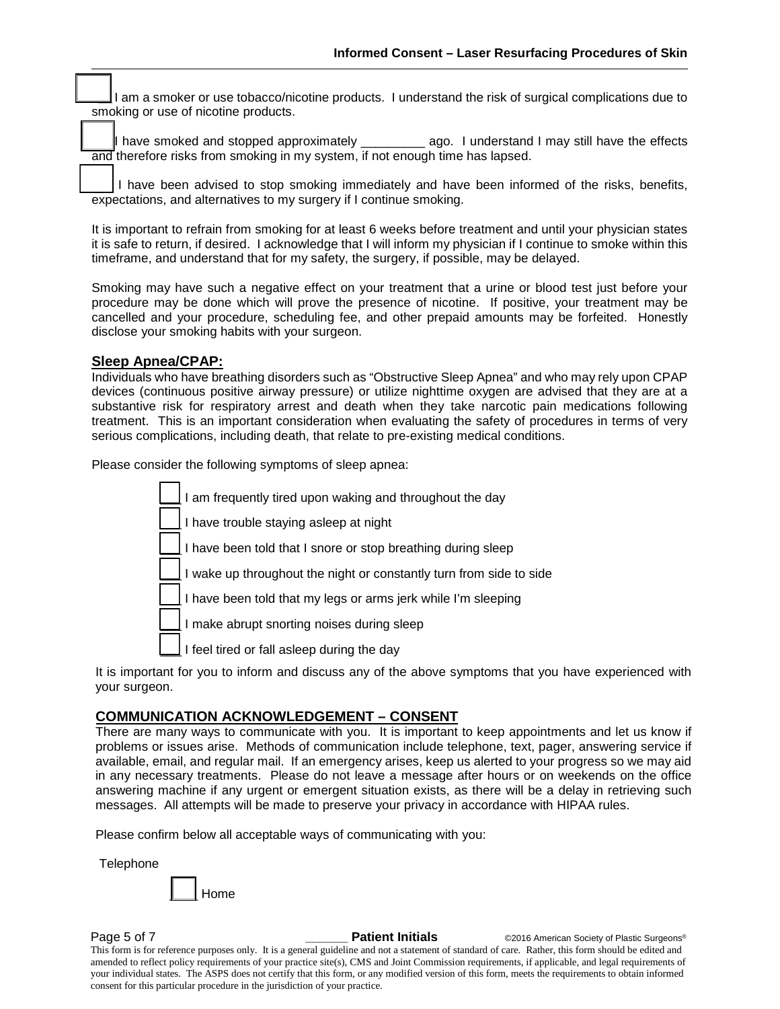**\_\_** I am a smoker or use tobacco/nicotine products. I understand the risk of surgical complications due to smoking or use of nicotine products.

have smoked and stopped approximately \_\_\_\_\_\_\_\_\_\_\_ ago. I understand I may still have the effects and therefore risks from smoking in my system, if not enough time has lapsed.

I have been advised to stop smoking immediately and have been informed of the risks, benefits, expectations, and alternatives to my surgery if I continue smoking.

It is important to refrain from smoking for at least 6 weeks before treatment and until your physician states it is safe to return, if desired. I acknowledge that I will inform my physician if I continue to smoke within this timeframe, and understand that for my safety, the surgery, if possible, may be delayed.

Smoking may have such a negative effect on your treatment that a urine or blood test just before your procedure may be done which will prove the presence of nicotine. If positive, your treatment may be cancelled and your procedure, scheduling fee, and other prepaid amounts may be forfeited. Honestly disclose your smoking habits with your surgeon.

#### **Sleep Apnea/CPAP:**

Individuals who have breathing disorders such as "Obstructive Sleep Apnea" and who may rely upon CPAP devices (continuous positive airway pressure) or utilize nighttime oxygen are advised that they are at a substantive risk for respiratory arrest and death when they take narcotic pain medications following treatment. This is an important consideration when evaluating the safety of procedures in terms of very serious complications, including death, that relate to pre-existing medical conditions.

Please consider the following symptoms of sleep apnea:

I am frequently tired upon waking and throughout the day I have trouble staying asleep at night I have been told that I snore or stop breathing during sleep I wake up throughout the night or constantly turn from side to side I have been told that my legs or arms jerk while I'm sleeping I make abrupt snorting noises during sleep I feel tired or fall asleep during the day

It is important for you to inform and discuss any of the above symptoms that you have experienced with your surgeon.

#### **COMMUNICATION ACKNOWLEDGEMENT – CONSENT**

There are many ways to communicate with you. It is important to keep appointments and let us know if problems or issues arise. Methods of communication include telephone, text, pager, answering service if available, email, and regular mail. If an emergency arises, keep us alerted to your progress so we may aid in any necessary treatments. Please do not leave a message after hours or on weekends on the office answering machine if any urgent or emergent situation exists, as there will be a delay in retrieving such messages. All attempts will be made to preserve your privacy in accordance with HIPAA rules.

Please confirm below all acceptable ways of communicating with you:

**Telephone** \_\_\_\_ Home

**Page 5 of 7 Conserverse Conserverse Conserverse Patient Initials** Capace 6 CO2016 American Society of Plastic Surgeons®

This form is for reference purposes only. It is a general guideline and not a statement of standard of care. Rather, this form should be edited and amended to reflect policy requirements of your practice site(s), CMS and Joint Commission requirements, if applicable, and legal requirements of your individual states. The ASPS does not certify that this form, or any modified version of this form, meets the requirements to obtain informed consent for this particular procedure in the jurisdiction of your practice.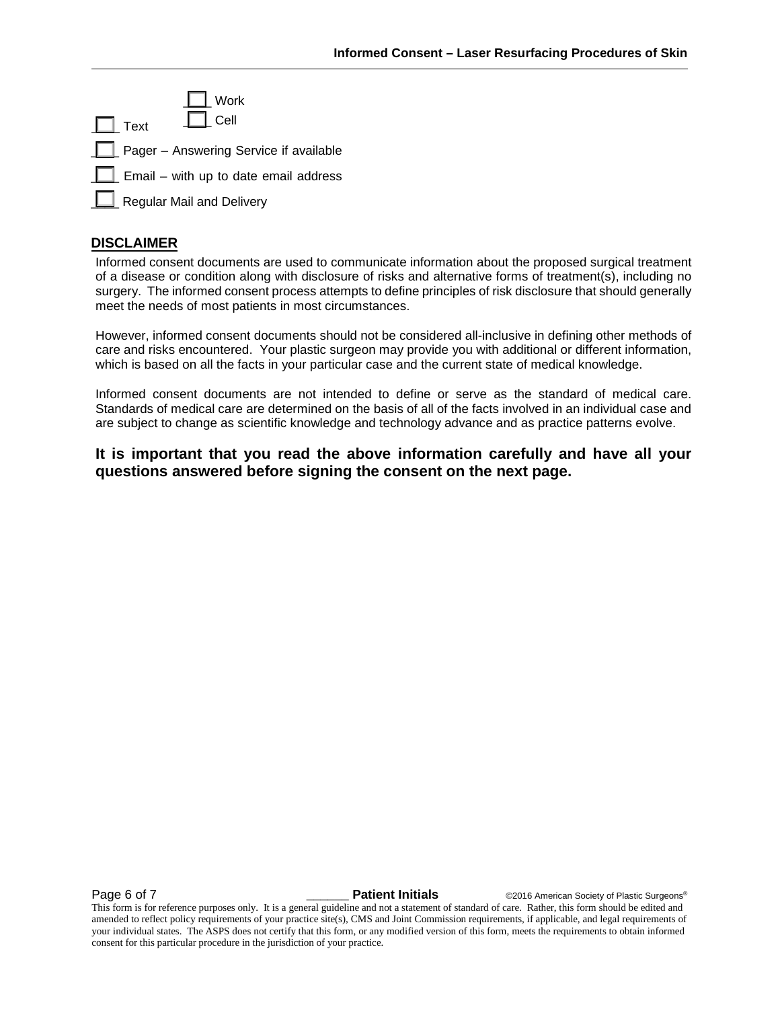| $\Box$ Work<br>$\Box$ Cell<br>$\Box$ Text    |
|----------------------------------------------|
| Pager - Answering Service if available       |
| $\Box$ Email – with up to date email address |
| Regular Mail and Delivery                    |

#### **DISCLAIMER**

Informed consent documents are used to communicate information about the proposed surgical treatment of a disease or condition along with disclosure of risks and alternative forms of treatment(s), including no surgery. The informed consent process attempts to define principles of risk disclosure that should generally meet the needs of most patients in most circumstances.

However, informed consent documents should not be considered all-inclusive in defining other methods of care and risks encountered. Your plastic surgeon may provide you with additional or different information, which is based on all the facts in your particular case and the current state of medical knowledge.

Informed consent documents are not intended to define or serve as the standard of medical care. Standards of medical care are determined on the basis of all of the facts involved in an individual case and are subject to change as scientific knowledge and technology advance and as practice patterns evolve.

#### **It is important that you read the above information carefully and have all your questions answered before signing the consent on the next page.**

**Page 6 of 7 \_\_\_\_\_\_ Patient Initials** ©2016 American Society of Plastic Surgeons®

This form is for reference purposes only. It is a general guideline and not a statement of standard of care. Rather, this form should be edited and amended to reflect policy requirements of your practice site(s), CMS and Joint Commission requirements, if applicable, and legal requirements of your individual states. The ASPS does not certify that this form, or any modified version of this form, meets the requirements to obtain informed consent for this particular procedure in the jurisdiction of your practice.